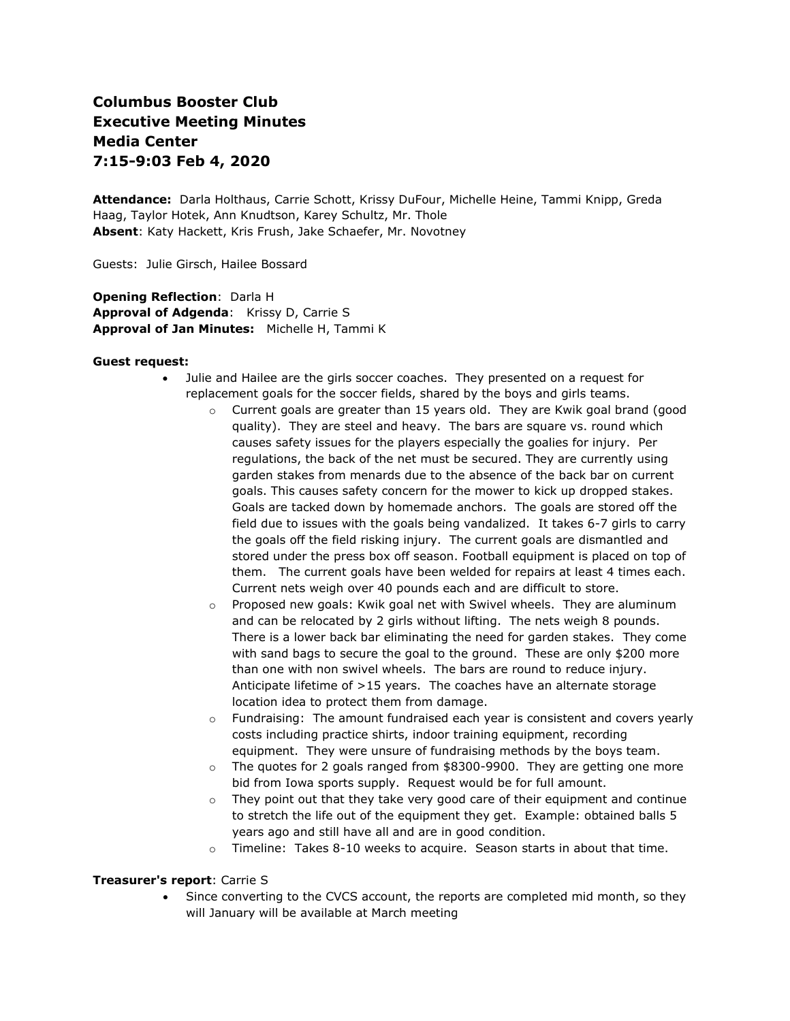# **Columbus Booster Club Executive Meeting Minutes Media Center 7:15-9:03 Feb 4, 2020**

**Attendance:** Darla Holthaus, Carrie Schott, Krissy DuFour, Michelle Heine, Tammi Knipp, Greda Haag, Taylor Hotek, Ann Knudtson, Karey Schultz, Mr. Thole **Absent**: Katy Hackett, Kris Frush, Jake Schaefer, Mr. Novotney

Guests: Julie Girsch, Hailee Bossard

**Opening Reflection**: Darla H **Approval of Adgenda**: Krissy D, Carrie S **Approval of Jan Minutes:** Michelle H, Tammi K

#### **Guest request:**

- Julie and Hailee are the girls soccer coaches. They presented on a request for replacement goals for the soccer fields, shared by the boys and girls teams.
	- o Current goals are greater than 15 years old. They are Kwik goal brand (good quality). They are steel and heavy. The bars are square vs. round which causes safety issues for the players especially the goalies for injury. Per regulations, the back of the net must be secured. They are currently using garden stakes from menards due to the absence of the back bar on current goals. This causes safety concern for the mower to kick up dropped stakes. Goals are tacked down by homemade anchors. The goals are stored off the field due to issues with the goals being vandalized. It takes 6-7 girls to carry the goals off the field risking injury. The current goals are dismantled and stored under the press box off season. Football equipment is placed on top of them. The current goals have been welded for repairs at least 4 times each. Current nets weigh over 40 pounds each and are difficult to store.
	- Proposed new goals: Kwik goal net with Swivel wheels. They are aluminum and can be relocated by 2 girls without lifting. The nets weigh 8 pounds. There is a lower back bar eliminating the need for garden stakes. They come with sand bags to secure the goal to the ground. These are only \$200 more than one with non swivel wheels. The bars are round to reduce injury. Anticipate lifetime of >15 years. The coaches have an alternate storage location idea to protect them from damage.
	- $\circ$  Fundraising: The amount fundraised each year is consistent and covers yearly costs including practice shirts, indoor training equipment, recording equipment. They were unsure of fundraising methods by the boys team.
	- $\circ$  The quotes for 2 goals ranged from \$8300-9900. They are getting one more bid from Iowa sports supply. Request would be for full amount.
	- $\circ$  They point out that they take very good care of their equipment and continue to stretch the life out of the equipment they get. Example: obtained balls 5 years ago and still have all and are in good condition.
	- $\circ$  Timeline: Takes 8-10 weeks to acquire. Season starts in about that time.

#### **Treasurer's report**: Carrie S

• Since converting to the CVCS account, the reports are completed mid month, so they will January will be available at March meeting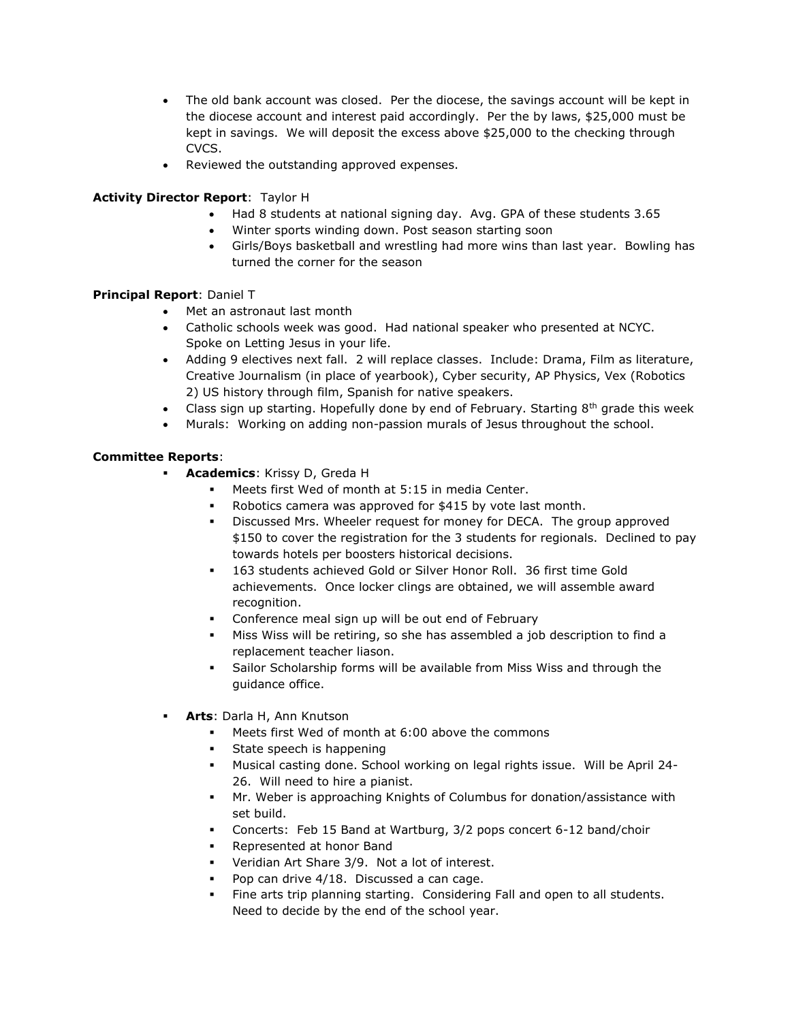- The old bank account was closed. Per the diocese, the savings account will be kept in the diocese account and interest paid accordingly. Per the by laws, \$25,000 must be kept in savings. We will deposit the excess above \$25,000 to the checking through CVCS.
- Reviewed the outstanding approved expenses.

## **Activity Director Report**: Taylor H

- Had 8 students at national signing day. Avg. GPA of these students 3.65
- Winter sports winding down. Post season starting soon
- Girls/Boys basketball and wrestling had more wins than last year. Bowling has turned the corner for the season

## **Principal Report**: Daniel T

- Met an astronaut last month
- Catholic schools week was good. Had national speaker who presented at NCYC. Spoke on Letting Jesus in your life.
- Adding 9 electives next fall. 2 will replace classes. Include: Drama, Film as literature, Creative Journalism (in place of yearbook), Cyber security, AP Physics, Vex (Robotics 2) US history through film, Spanish for native speakers.
- Class sign up starting. Hopefully done by end of February. Starting  $8<sup>th</sup>$  grade this week
- Murals: Working on adding non-passion murals of Jesus throughout the school.

## **Committee Reports**:

- **Academics: Krissy D, Greda H** 
	- Meets first Wed of month at 5:15 in media Center.
	- Robotics camera was approved for \$415 by vote last month.
	- Discussed Mrs. Wheeler request for money for DECA. The group approved \$150 to cover the registration for the 3 students for regionals. Declined to pay towards hotels per boosters historical decisions.
	- 163 students achieved Gold or Silver Honor Roll. 36 first time Gold achievements. Once locker clings are obtained, we will assemble award recognition.
	- Conference meal sign up will be out end of February
	- Miss Wiss will be retiring, so she has assembled a job description to find a replacement teacher liason.
	- Sailor Scholarship forms will be available from Miss Wiss and through the guidance office.
- **Arts**: Darla H, Ann Knutson
	- Meets first Wed of month at 6:00 above the commons
	- State speech is happening
	- Musical casting done. School working on legal rights issue. Will be April 24- 26. Will need to hire a pianist.
	- Mr. Weber is approaching Knights of Columbus for donation/assistance with set build.
	- Concerts: Feb 15 Band at Wartburg, 3/2 pops concert 6-12 band/choir
	- Represented at honor Band
	- Veridian Art Share 3/9. Not a lot of interest.
	- Pop can drive 4/18. Discussed a can cage.
	- Fine arts trip planning starting. Considering Fall and open to all students. Need to decide by the end of the school year.